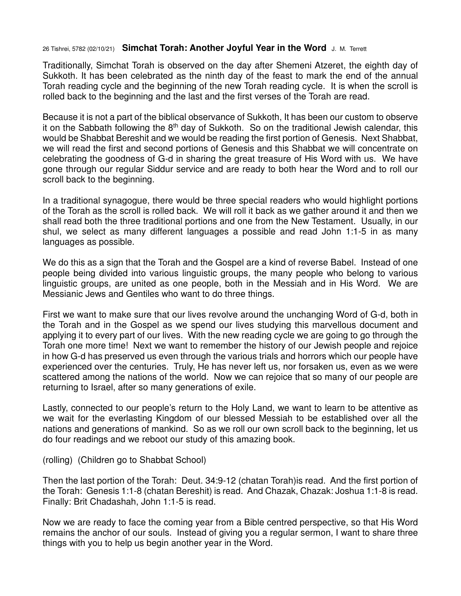## 26 Tishrei, 5782 (02/10/21) **Simchat Torah: Another Joyful Year in the Word** J. M. Terrett

Traditionally, Simchat Torah is observed on the day after Shemeni Atzeret, the eighth day of Sukkoth. It has been celebrated as the ninth day of the feast to mark the end of the annual Torah reading cycle and the beginning of the new Torah reading cycle. It is when the scroll is rolled back to the beginning and the last and the first verses of the Torah are read.

Because it is not a part of the biblical observance of Sukkoth, It has been our custom to observe it on the Sabbath following the 8<sup>th</sup> day of Sukkoth. So on the traditional Jewish calendar, this would be Shabbat Bereshit and we would be reading the first portion of Genesis. Next Shabbat, we will read the first and second portions of Genesis and this Shabbat we will concentrate on celebrating the goodness of G-d in sharing the great treasure of His Word with us. We have gone through our regular Siddur service and are ready to both hear the Word and to roll our scroll back to the beginning.

In a traditional synagogue, there would be three special readers who would highlight portions of the Torah as the scroll is rolled back. We will roll it back as we gather around it and then we shall read both the three traditional portions and one from the New Testament. Usually, in our shul, we select as many different languages a possible and read John 1:1-5 in as many languages as possible.

We do this as a sign that the Torah and the Gospel are a kind of reverse Babel. Instead of one people being divided into various linguistic groups, the many people who belong to various linguistic groups, are united as one people, both in the Messiah and in His Word. We are Messianic Jews and Gentiles who want to do three things.

First we want to make sure that our lives revolve around the unchanging Word of G-d, both in the Torah and in the Gospel as we spend our lives studying this marvellous document and applying it to every part of our lives. With the new reading cycle we are going to go through the Torah one more time! Next we want to remember the history of our Jewish people and rejoice in how G-d has preserved us even through the various trials and horrors which our people have experienced over the centuries. Truly, He has never left us, nor forsaken us, even as we were scattered among the nations of the world. Now we can rejoice that so many of our people are returning to Israel, after so many generations of exile.

Lastly, connected to our people's return to the Holy Land, we want to learn to be attentive as we wait for the everlasting Kingdom of our blessed Messiah to be established over all the nations and generations of mankind. So as we roll our own scroll back to the beginning, let us do four readings and we reboot our study of this amazing book.

(rolling) (Children go to Shabbat School)

Then the last portion of the Torah: Deut. 34:9-12 (chatan Torah)is read. And the first portion of the Torah: Genesis 1:1-8 (chatan Bereshit) is read. And Chazak, Chazak: Joshua 1:1-8 is read. Finally: Brit Chadashah, John 1:1-5 is read.

Now we are ready to face the coming year from a Bible centred perspective, so that His Word remains the anchor of our souls. Instead of giving you a regular sermon, I want to share three things with you to help us begin another year in the Word.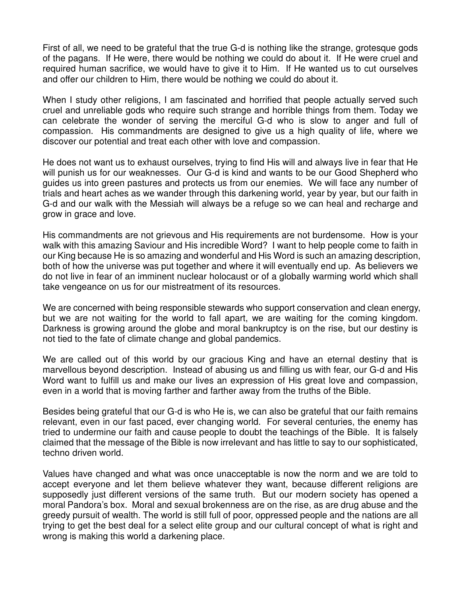First of all, we need to be grateful that the true G-d is nothing like the strange, grotesque gods of the pagans. If He were, there would be nothing we could do about it. If He were cruel and required human sacrifice, we would have to give it to Him. If He wanted us to cut ourselves and offer our children to Him, there would be nothing we could do about it.

When I study other religions, I am fascinated and horrified that people actually served such cruel and unreliable gods who require such strange and horrible things from them. Today we can celebrate the wonder of serving the merciful G-d who is slow to anger and full of compassion. His commandments are designed to give us a high quality of life, where we discover our potential and treat each other with love and compassion.

He does not want us to exhaust ourselves, trying to find His will and always live in fear that He will punish us for our weaknesses. Our G-d is kind and wants to be our Good Shepherd who guides us into green pastures and protects us from our enemies. We will face any number of trials and heart aches as we wander through this darkening world, year by year, but our faith in G-d and our walk with the Messiah will always be a refuge so we can heal and recharge and grow in grace and love.

His commandments are not grievous and His requirements are not burdensome. How is your walk with this amazing Saviour and His incredible Word? I want to help people come to faith in our King because He is so amazing and wonderful and His Word is such an amazing description, both of how the universe was put together and where it will eventually end up. As believers we do not live in fear of an imminent nuclear holocaust or of a globally warming world which shall take vengeance on us for our mistreatment of its resources.

We are concerned with being responsible stewards who support conservation and clean energy, but we are not waiting for the world to fall apart, we are waiting for the coming kingdom. Darkness is growing around the globe and moral bankruptcy is on the rise, but our destiny is not tied to the fate of climate change and global pandemics.

We are called out of this world by our gracious King and have an eternal destiny that is marvellous beyond description. Instead of abusing us and filling us with fear, our G-d and His Word want to fulfill us and make our lives an expression of His great love and compassion, even in a world that is moving farther and farther away from the truths of the Bible.

Besides being grateful that our G-d is who He is, we can also be grateful that our faith remains relevant, even in our fast paced, ever changing world. For several centuries, the enemy has tried to undermine our faith and cause people to doubt the teachings of the Bible. It is falsely claimed that the message of the Bible is now irrelevant and has little to say to our sophisticated, techno driven world.

Values have changed and what was once unacceptable is now the norm and we are told to accept everyone and let them believe whatever they want, because different religions are supposedly just different versions of the same truth. But our modern society has opened a moral Pandora's box. Moral and sexual brokenness are on the rise, as are drug abuse and the greedy pursuit of wealth. The world is still full of poor, oppressed people and the nations are all trying to get the best deal for a select elite group and our cultural concept of what is right and wrong is making this world a darkening place.